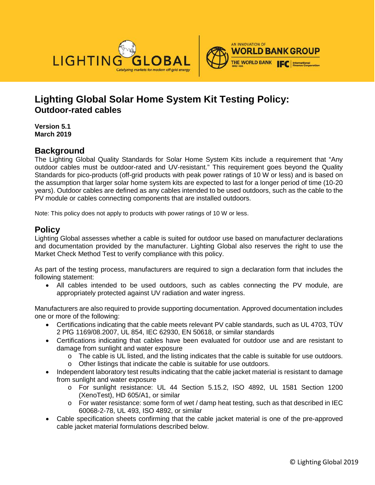



# **Lighting Global Solar Home System Kit Testing Policy: Outdoor-rated cables**

**Version 5.1 March 2019**

### **Background**

The Lighting Global Quality Standards for Solar Home System Kits include a requirement that "Any outdoor cables must be outdoor-rated and UV-resistant." This requirement goes beyond the Quality Standards for pico-products (off-grid products with peak power ratings of 10 W or less) and is based on the assumption that larger solar home system kits are expected to last for a longer period of time (10-20 years). Outdoor cables are defined as any cables intended to be used outdoors, such as the cable to the PV module or cables connecting components that are installed outdoors.

Note: This policy does not apply to products with power ratings of 10 W or less.

## **Policy**

Lighting Global assesses whether a cable is suited for outdoor use based on manufacturer declarations and documentation provided by the manufacturer. Lighting Global also reserves the right to use the Market Check Method Test to verify compliance with this policy.

As part of the testing process, manufacturers are required to sign a declaration form that includes the following statement:

• All cables intended to be used outdoors, such as cables connecting the PV module, are appropriately protected against UV radiation and water ingress.

Manufacturers are also required to provide supporting documentation. Approved documentation includes one or more of the following:

- Certifications indicating that the cable meets relevant PV cable standards, such as UL 4703, TUV 2 PfG 1169/08.2007, UL 854, IEC 62930, EN 50618, or similar standards
- Certifications indicating that cables have been evaluated for outdoor use and are resistant to damage from sunlight and water exposure
	- o The cable is UL listed, and the listing indicates that the cable is suitable for use outdoors.
	- o Other listings that indicate the cable is suitable for use outdoors.
- Independent laboratory test results indicating that the cable jacket material is resistant to damage from sunlight and water exposure
	- o For sunlight resistance: UL 44 Section 5.15.2, ISO 4892, UL 1581 Section 1200 (XenoTest), HD 605/A1, or similar
	- $\circ$  For water resistance: some form of wet / damp heat testing, such as that described in IEC 60068-2-78, UL 493, ISO 4892, or similar
- Cable specification sheets confirming that the cable jacket material is one of the pre-approved cable jacket material formulations described below.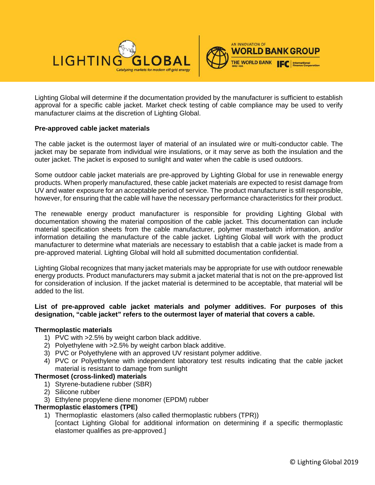



Lighting Global will determine if the documentation provided by the manufacturer is sufficient to establish approval for a specific cable jacket. Market check testing of cable compliance may be used to verify manufacturer claims at the discretion of Lighting Global.

#### **Pre-approved cable jacket materials**

The cable jacket is the outermost layer of material of an insulated wire or multi-conductor cable. The jacket may be separate from individual wire insulations, or it may serve as both the insulation and the outer jacket. The jacket is exposed to sunlight and water when the cable is used outdoors.

Some outdoor cable jacket materials are pre-approved by Lighting Global for use in renewable energy products. When properly manufactured, these cable jacket materials are expected to resist damage from UV and water exposure for an acceptable period of service. The product manufacturer is still responsible, however, for ensuring that the cable will have the necessary performance characteristics for their product.

The renewable energy product manufacturer is responsible for providing Lighting Global with documentation showing the material composition of the cable jacket. This documentation can include material specification sheets from the cable manufacturer, polymer masterbatch information, and/or information detailing the manufacture of the cable jacket. Lighting Global will work with the product manufacturer to determine what materials are necessary to establish that a cable jacket is made from a pre-approved material. Lighting Global will hold all submitted documentation confidential.

Lighting Global recognizes that many jacket materials may be appropriate for use with outdoor renewable energy products. Product manufacturers may submit a jacket material that is not on the pre-approved list for consideration of inclusion. If the jacket material is determined to be acceptable, that material will be added to the list.

#### **List of pre-approved cable jacket materials and polymer additives. For purposes of this designation, "cable jacket" refers to the outermost layer of material that covers a cable.**

#### **Thermoplastic materials**

- 1) PVC with >2.5% by weight carbon black additive.
- 2) Polyethylene with >2.5% by weight carbon black additive.
- 3) PVC or Polyethylene with an approved UV resistant polymer additive.
- 4) PVC or Polyethylene with independent laboratory test results indicating that the cable jacket material is resistant to damage from sunlight

#### **Thermoset (cross-linked) materials**

- 1) Styrene-butadiene rubber (SBR)
- 2) Silicone rubber
- 3) Ethylene propylene diene monomer (EPDM) rubber

#### **Thermoplastic elastomers (TPE)**

1) Thermoplastic elastomers (also called thermoplastic rubbers (TPR)) [contact Lighting Global for additional information on determining if a specific thermoplastic elastomer qualifies as pre-approved.]